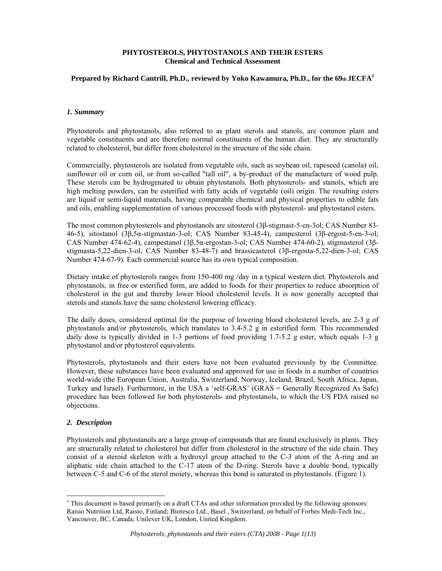#### **PHYTOSTEROLS, PHYTOSTANOLS AND THEIR ESTERS Chemical and Technical Assessment**

# **Prepared by Richard Cantrill, Ph.D., reviewed by Yoko Kawamura, Ph.D., for the 69th JECFA<sup>1</sup>**

#### *1. Summary*

Phytosterols and phytostanols, also referred to as plant sterols and stanols, are common plant and vegetable constituents and are therefore normal constituents of the human diet. They are structurally related to cholesterol, but differ from cholesterol in the structure of the side chain.

Commercially, phytosterols are isolated from vegetable oils, such as soybean oil, rapeseed (canola) oil, sunflower oil or corn oil, or from so-called "tall oil", a by-product of the manufacture of wood pulp. These sterols can be hydrogenated to obtain phytostanols. Both phytosterols- and stanols, which are high melting powders, can be esterified with fatty acids of vegetable (oil) origin. The resulting esters are liquid or semi-liquid materials, having comparable chemical and physical properties to edible fats and oils, enabling supplementation of various processed foods with phytosterol- and phytostanol esters.

The most common phytosterols and phytostanols are sitosterol (3β-stigmast-5-en-3ol; CAS Number 83- 46-5), sitostanol (3β,5α-stigmastan-3-ol; CAS Number 83-45-4), campesterol (3β-ergost-5-en-3-ol; CAS Number 474-62-4), campestanol (3β,5α-ergostan-3-ol; CAS Number 474-60-2), stigmasterol (3βstigmasta-5,22-dien-3-ol; CAS Number 83-48-7) and brassicasterol (3β-ergosta-5,22-dien-3-ol; CAS Number 474-67-9). Each commercial source has its own typical composition.

Dietary intake of phytosterols ranges from 150-400 mg /day in a typical western diet. Phytosterols and phytostanols, in free or esterified form, are added to foods for their properties to reduce absorption of cholesterol in the gut and thereby lower blood cholesterol levels. It is now generally accepted that sterols and stanols have the same cholesterol lowering efficacy.

The daily doses, considered optimal for the purpose of lowering blood cholesterol levels, are 2-3 g of phytostanols and/or phytosterols, which translates to 3.4-5.2 g in esterified form. This recommended daily dose is typically divided in 1-3 portions of food providing 1.7-5.2 g ester, which equals 1-3 g phytostanol and/or phytosterol equivalents.

Phytosterols, phytostanols and their esters have not been evaluated previously by the Committee. However, these substances have been evaluated and approved for use in foods in a number of countries world-wide (the European Union, Australia, Switzerland, Norway, Iceland, Brazil, South Africa, Japan, Turkey and Israel). Furthermore, in the USA a 'self-GRAS' (GRAS = Generally Recognized As Safe) procedure has been followed for both phytosterols- and phytostanols, to which the US FDA raised no objections.

# *2. Description*

 $\overline{a}$ 

Phytosterols and phytostanols are a large group of compounds that are found exclusively in plants. They are structurally related to cholesterol but differ from cholesterol in the structure of the side chain. They consist of a steroid skeleton with a hydroxyl group attached to the C-3 atom of the A-ring and an aliphatic side chain attached to the C-17 atom of the D-ring. Sterols have a double bond, typically between C-5 and C-6 of the sterol moiety, whereas this bond is saturated in phytostanols. (Figure 1).

<sup>&</sup>lt;sup>1</sup> This document is based primarily on a draft CTAs and other information provided by the following sponsors: Raisio Nutrition Ltd, Raisio, Finland; Bioresco Ltd., Basel , Switzerland, on behalf of Forbes Medi-Tech Inc., Vancouver, BC, Canada; Unilever UK, London, United Kingdom.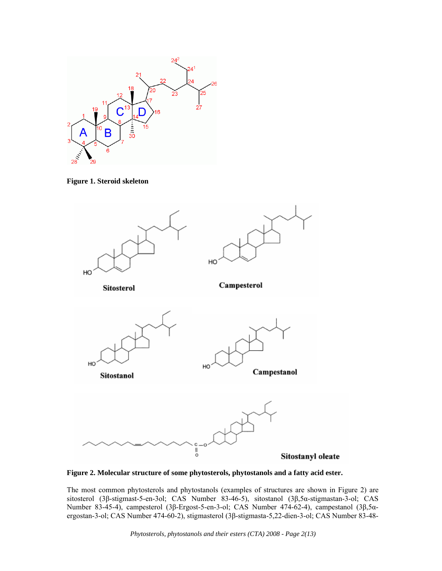

**Figure 1. Steroid skeleton** 



**Figure 2. Molecular structure of some phytosterols, phytostanols and a fatty acid ester.** 

The most common phytosterols and phytostanols (examples of structures are shown in Figure 2) are sitosterol (3β-stigmast-5-en-3ol; CAS Number 83-46-5), sitostanol (3β,5α-stigmastan-3-ol; CAS Number 83-45-4), campesterol (3β-Ergost-5-en-3-ol; CAS Number 474-62-4), campestanol (3β,5αergostan-3-ol; CAS Number 474-60-2), stigmasterol (3β-stigmasta-5,22-dien-3-ol; CAS Number 83-48-

*Phytosterols, phytostanols and their esters (CTA) 2008 - Page 2(13)*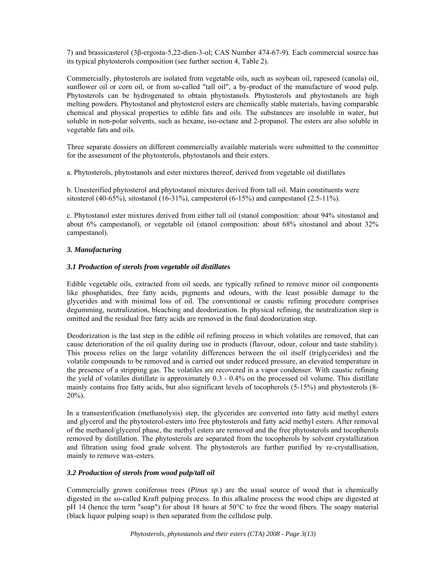7) and brassicasterol (3β-ergosta-5,22-dien-3-ol; CAS Number 474-67-9). Each commercial source has its typical phytosterols composition (see further section 4, Table 2).

Commercially, phytosterols are isolated from vegetable oils, such as soybean oil, rapeseed (canola) oil, sunflower oil or corn oil, or from so-called "tall oil", a by-product of the manufacture of wood pulp. Phytosterols can be hydrogenated to obtain phytostanols. Phytosterols and phytostanols are high melting powders. Phytostanol and phytosterol esters are chemically stable materials, having comparable chemical and physical properties to edible fats and oils. The substances are insoluble in water, but soluble in non-polar solvents, such as hexane, iso-octane and 2-propanol. The esters are also soluble in vegetable fats and oils.

Three separate dossiers on different commercially available materials were submitted to the committee for the assessment of the phytosterols, phytostanols and their esters.

a. Phytosterols, phytostanols and ester mixtures thereof, derived from vegetable oil distillates

b. Unesterified phytosterol and phytostanol mixtures derived from tall oil. Main constituents were sitosterol (40-65%), sitostanol (16-31%), campesterol (6-15%) and campestanol (2.5-11%).

c. Phytostanol ester mixtures derived from either tall oil (stanol composition: about 94% sitostanol and about 6% campestanol), or vegetable oil (stanol composition: about 68% sitostanol and about 32% campestanol).

# *3. Manufacturing*

# *3.1 Production of sterols from vegetable oil distillates*

Edible vegetable oils, extracted from oil seeds, are typically refined to remove minor oil components like phosphatides, free fatty acids, pigments and odours, with the least possible damage to the glycerides and with minimal loss of oil. The conventional or caustic refining procedure comprises degumming, neutralization, bleaching and deodorization. In physical refining, the neutralization step is omitted and the residual free fatty acids are removed in the final deodorization step.

Deodorization is the last step in the edible oil refining process in which volatiles are removed, that can cause deterioration of the oil quality during use in products (flavour, odour, colour and taste stability). This process relies on the large volatility differences between the oil itself (triglycerides) and the volatile compounds to be removed and is carried out under reduced pressure, an elevated temperature in the presence of a stripping gas. The volatiles are recovered in a vapor condenser. With caustic refining the yield of volatiles distillate is approximately 0.3 - 0.4% on the processed oil volume. This distillate mainly contains free fatty acids, but also significant levels of tocopherols (5-15%) and phytosterols (8-  $20\%$ ).

In a transesterification (methanolysis) step, the glycerides are converted into fatty acid methyl esters and glycerol and the phytosterol-esters into free phytosterols and fatty acid methyl esters. After removal of the methanol/glycerol phase, the methyl esters are removed and the free phytosterols and tocopherols removed by distillation. The phytosterols are separated from the tocopherols by solvent crystallization and filtration using food grade solvent. The phytosterols are further purified by re-crystallisation, mainly to remove wax-esters.

# *3.2 Production of sterols from wood pulp/tall oil*

Commercially grown coniferous trees (*Pinus sp*.) are the usual source of wood that is chemically digested in the so-called Kraft pulping process. In this alkaline process the wood chips are digested at pH 14 (hence the term "soap") for about 18 hours at 50°C to free the wood fibers. The soapy material (black liquor pulping soap) is then separated from the cellulose pulp.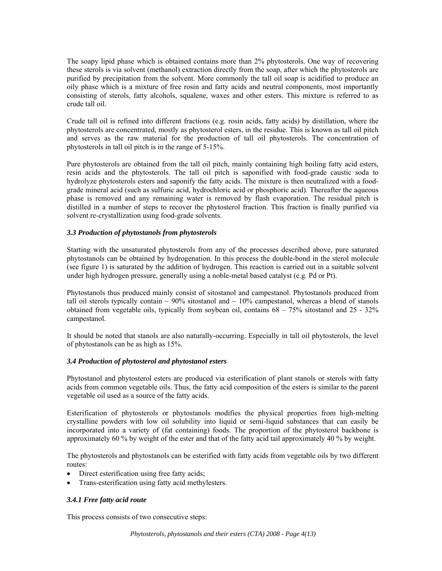The soapy lipid phase which is obtained contains more than 2% phytosterols. One way of recovering these sterols is via solvent (methanol) extraction directly from the soap, after which the phytosterols are purified by precipitation from the solvent. More commonly the tall oil soap is acidified to produce an oily phase which is a mixture of free rosin and fatty acids and neutral components, most importantly consisting of sterols, fatty alcohols, squalene, waxes and other esters. This mixture is referred to as crude tall oil.

Crude tall oil is refined into different fractions (e.g. rosin acids, fatty acids) by distillation, where the phytosterols are concentrated, mostly as phytosterol esters, in the residue. This is known as tall oil pitch and serves as the raw material for the production of tall oil phytosterols. The concentration of phytosterols in tall oil pitch is in the range of 5-15%.

Pure phytosterols are obtained from the tall oil pitch, mainly containing high boiling fatty acid esters, resin acids and the phytosterols. The tall oil pitch is saponified with food-grade caustic soda to hydrolyze phytosterols esters and saponify the fatty acids. The mixture is then neutralized with a foodgrade mineral acid (such as sulfuric acid, hydrochloric acid or phosphoric acid). Thereafter the aqueous phase is removed and any remaining water is removed by flash evaporation. The residual pitch is distilled in a number of steps to recover the phytosterol fraction. This fraction is finally purified via solvent re-crystallization using food-grade solvents.

# *3.3 Production of phytostanols from phytosterols*

Starting with the unsaturated phytosterols from any of the processes described above, pure saturated phytostanols can be obtained by hydrogenation. In this process the double-bond in the sterol molecule (see figure 1) is saturated by the addition of hydrogen. This reaction is carried out in a suitable solvent under high hydrogen pressure, generally using a noble-metal based catalyst (e.g. Pd or Pt).

Phytostanols thus produced mainly consist of sitostanol and campestanol. Phytostanols produced from tall oil sterols typically contain  $\sim$  90% sitostanol and  $\sim$  10% campestanol, whereas a blend of stanols obtained from vegetable oils, typically from soybean oil, contains  $68 - 75\%$  sitostanol and  $25 - 32\%$ campestanol.

It should be noted that stanols are also naturally-occurring. Especially in tall oil phytosterols, the level of phytostanols can be as high as 15%.

# *3.4 Production of phytosterol and phytostanol esters*

Phytostanol and phytosterol esters are produced via esterification of plant stanols or sterols with fatty acids from common vegetable oils. Thus, the fatty acid composition of the esters is similar to the parent vegetable oil used as a source of the fatty acids.

Esterification of phytosterols or phytostanols modifies the physical properties from high-melting crystalline powders with low oil solubility into liquid or semi-liquid substances that can easily be incorporated into a variety of (fat containing) foods. The proportion of the phytosterol backbone is approximately 60 % by weight of the ester and that of the fatty acid tail approximately 40 % by weight.

The phytosterols and phytostanols can be esterified with fatty acids from vegetable oils by two different routes:

- Direct esterification using free fatty acids;
- Trans-esterification using fatty acid methylesters.

# *3.4.1 Free fatty acid route*

This process consists of two consecutive steps: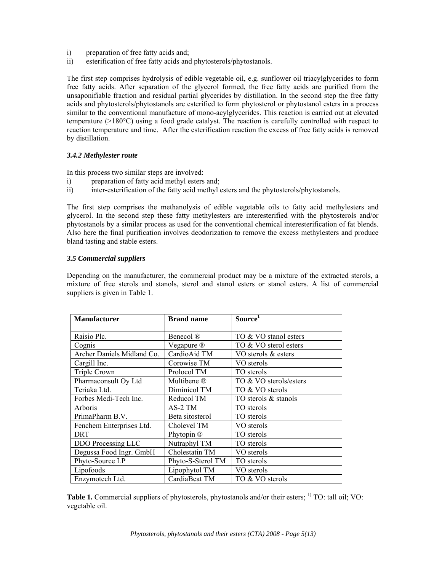- i) preparation of free fatty acids and;
- ii) esterification of free fatty acids and phytosterols/phytostanols.

The first step comprises hydrolysis of edible vegetable oil, e.g. sunflower oil triacylglycerides to form free fatty acids. After separation of the glycerol formed, the free fatty acids are purified from the unsaponifiable fraction and residual partial glycerides by distillation. In the second step the free fatty acids and phytosterols/phytostanols are esterified to form phytosterol or phytostanol esters in a process similar to the conventional manufacture of mono-acylglycerides. This reaction is carried out at elevated temperature (>180°C) using a food grade catalyst. The reaction is carefully controlled with respect to reaction temperature and time. After the esterification reaction the excess of free fatty acids is removed by distillation.

# *3.4.2 Methylester route*

In this process two similar steps are involved:

- i) preparation of fatty acid methyl esters and;
- ii) inter-esterification of the fatty acid methyl esters and the phytosterols/phytostanols.

The first step comprises the methanolysis of edible vegetable oils to fatty acid methylesters and glycerol. In the second step these fatty methylesters are interesterified with the phytosterols and/or phytostanols by a similar process as used for the conventional chemical interesterification of fat blends. Also here the final purification involves deodorization to remove the excess methylesters and produce bland tasting and stable esters.

#### *3.5 Commercial suppliers*

Depending on the manufacturer, the commercial product may be a mixture of the extracted sterols, a mixture of free sterols and stanols, sterol and stanol esters or stanol esters. A list of commercial suppliers is given in Table 1.

| <b>Manufacturer</b>        | <b>Brand name</b> | Source <sup>1</sup>    |
|----------------------------|-------------------|------------------------|
|                            |                   |                        |
| Raisio Plc.                | Benecol ®         | TO & VO stanol esters  |
| Cognis                     | Vegapure ®        | TO & VO sterol esters  |
| Archer Daniels Midland Co. | CardioAid TM      | VO sterols & esters    |
| Cargill Inc.               | Corowise TM       | VO sterols             |
| <b>Triple Crown</b>        | Prolocol TM       | TO sterols             |
| Pharmaconsult Oy Ltd       | Multibene ®       | TO & VO sterols/esters |
| Teriaka Ltd.               | Diminicol TM      | TO & VO sterols        |
| Forbes Medi-Tech Inc.      | Reducol TM        | TO sterols & stanols   |
| Arboris                    | AS-2 TM           | TO sterols             |
| PrimaPharm B.V.            | Beta sitosterol   | TO sterols             |
| Fenchem Enterprises Ltd.   | Cholevel TM       | VO sterols             |
| <b>DRT</b>                 | Phytopin ®        | TO sterols             |
| DDO Processing LLC         | Nutraphyl TM      | TO sterols             |
| Degussa Food Ingr. GmbH    | Cholestatin TM    | VO sterols             |
| Phyto-Source LP            | Phyto-S-Sterol TM | TO sterols             |
| Lipofoods                  | Lipophytol TM     | VO sterols             |
| Enzymotech Ltd.            | CardiaBeat TM     | TO & VO sterols        |

**Table 1.** Commercial suppliers of phytosterols, phytostanols and/or their esters; <sup>1)</sup> TO: tall oil; VO: vegetable oil.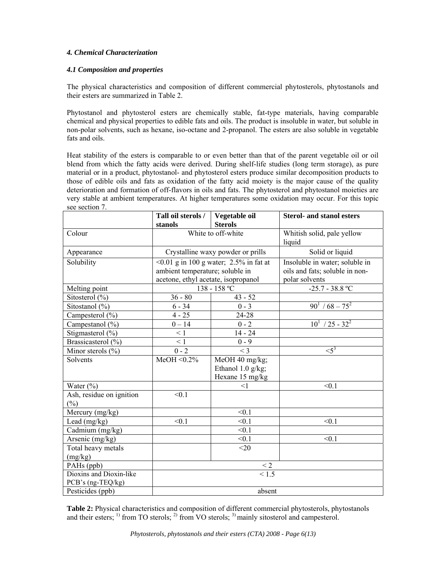# *4. Chemical Characterization*

# *4.1 Composition and properties*

The physical characteristics and composition of different commercial phytosterols, phytostanols and their esters are summarized in Table 2.

Phytostanol and phytosterol esters are chemically stable, fat-type materials, having comparable chemical and physical properties to edible fats and oils. The product is insoluble in water, but soluble in non-polar solvents, such as hexane, iso-octane and 2-propanol. The esters are also soluble in vegetable fats and oils.

Heat stability of the esters is comparable to or even better than that of the parent vegetable oil or oil blend from which the fatty acids were derived. During shelf-life studies (long term storage), as pure material or in a product, phytostanol- and phytosterol esters produce similar decomposition products to those of edible oils and fats as oxidation of the fatty acid moiety is the major cause of the quality deterioration and formation of off-flavors in oils and fats. The phytosterol and phytostanol moieties are very stable at ambient temperatures. At higher temperatures some oxidation may occur. For this topic see section 7.

|                          | Tall oil sterols /                           | Vegetable oil                     | <b>Sterol- and stanol esters</b>     |
|--------------------------|----------------------------------------------|-----------------------------------|--------------------------------------|
|                          | stanols                                      | <b>Sterols</b>                    |                                      |
| Colour                   | White to off-white                           |                                   | Whitish solid, pale yellow<br>liquid |
|                          |                                              |                                   |                                      |
| Appearance               |                                              | Crystalline waxy powder or prills | Solid or liquid                      |
| Solubility               | $\leq 0.01$ g in 100 g water; 2.5% in fat at |                                   | Insoluble in water; soluble in       |
|                          | ambient temperature; soluble in              |                                   | oils and fats; soluble in non-       |
|                          | acetone, ethyl acetate, isopropanol          |                                   | polar solvents                       |
| Melting point            |                                              | 138 - 158 °C                      | $-25.7 - 38.8 °C$                    |
| Sitosterol $(\% )$       | $36 - 80$                                    | $43 - 52$                         |                                      |
| Sitostanol (%)           | $6 - 34$                                     | $0 - 3$                           | $90^1 / 68 - 75^2$                   |
| Campesterol (%)          | $4 - 25$                                     | 24-28                             |                                      |
| Campestanol (%)          | $0 - 14$                                     | $0 - 2$                           | $10^1$ / 25 - 32 <sup>2</sup>        |
| Stigmasterol (%)         | $\leq 1$                                     | $14 - 24$                         |                                      |
| Brassicasterol (%)       | $\leq 1$                                     | $0 - 9$                           |                                      |
| Minor sterols $(\% )$    | $0 - 2$                                      | $<$ 3                             | $\leq 5^3$                           |
| Solvents                 | MeOH < $0.2\%$                               | MeOH 40 mg/kg;                    |                                      |
|                          |                                              | Ethanol $1.0$ g/kg;               |                                      |
|                          |                                              | Hexane 15 mg/kg                   |                                      |
| Water $(\%)$             |                                              | $<$ 1                             | < 0.1                                |
| Ash, residue on ignition | < 0.1                                        |                                   |                                      |
| $(\%)$                   |                                              |                                   |                                      |
| Mercury (mg/kg)          |                                              | < 0.1                             |                                      |
| Lead $(mg/kg)$           | < 0.1                                        | < 0.1                             | < 0.1                                |
| Cadmium (mg/kg)          |                                              | < 0.1                             |                                      |
| Arsenic (mg/kg)          |                                              | < 0.1                             | < 0.1                                |
| Total heavy metals       |                                              | $<$ 20                            |                                      |
| (mg/kg)                  |                                              |                                   |                                      |
| PAHs (ppb)               |                                              | $\leq$ 2                          |                                      |
| Dioxins and Dioxin-like  | $\overline{<}1.5$                            |                                   |                                      |
| PCB's (ng-TEQ/kg)        |                                              |                                   |                                      |
| Pesticides (ppb)         | absent                                       |                                   |                                      |

**Table 2:** Physical characteristics and composition of different commercial phytosterols, phytostanols and their esters;  $^{1}$  from TO sterols;  $^{2}$  from VO sterols;  $^{3}$  mainly sitosterol and campesterol.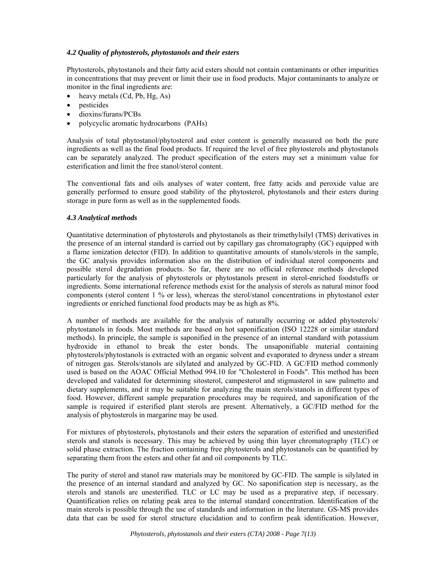# *4.2 Quality of phytosterols, phytostanols and their esters*

Phytosterols, phytostanols and their fatty acid esters should not contain contaminants or other impurities in concentrations that may prevent or limit their use in food products. Major contaminants to analyze or monitor in the final ingredients are:

- heavy metals  $(Cd, Pb, Hg, As)$
- **pesticides**
- dioxins/furans/PCBs
- polycyclic aromatic hydrocarbons (PAHs)

Analysis of total phytostanol/phytosterol and ester content is generally measured on both the pure ingredients as well as the final food products. If required the level of free phytosterols and phytostanols can be separately analyzed. The product specification of the esters may set a minimum value for esterification and limit the free stanol/sterol content.

The conventional fats and oils analyses of water content, free fatty acids and peroxide value are generally performed to ensure good stability of the phytosterol, phytostanols and their esters during storage in pure form as well as in the supplemented foods.

#### *4.3 Analytical methods*

Quantitative determination of phytosterols and phytostanols as their trimethylsilyl (TMS) derivatives in the presence of an internal standard is carried out by capillary gas chromatography (GC) equipped with a flame ionization detector (FID). In addition to quantitative amounts of stanols/sterols in the sample, the GC analysis provides information also on the distribution of individual sterol components and possible sterol degradation products. So far, there are no official reference methods developed particularly for the analysis of phytosterols or phytostanols present in sterol-enriched foodstuffs or ingredients. Some international reference methods exist for the analysis of sterols as natural minor food components (sterol content 1 % or less), whereas the sterol/stanol concentrations in phytostanol ester ingredients or enriched functional food products may be as high as 8%.

A number of methods are available for the analysis of naturally occurring or added phytosterols/ phytostanols in foods. Most methods are based on hot saponification (ISO 12228 or similar standard methods). In principle, the sample is saponified in the presence of an internal standard with potassium hydroxide in ethanol to break the ester bonds. The unsaponifiable material containing phytosterols/phytostanols is extracted with an organic solvent and evaporated to dryness under a stream of nitrogen gas. Sterols/stanols are silylated and analyzed by GC-FID. A GC/FID method commonly used is based on the AOAC Official Method 994.10 for "Cholesterol in Foods". This method has been developed and validated for determining sitosterol, campesterol and stigmasterol in saw palmetto and dietary supplements, and it may be suitable for analyzing the main sterols/stanols in different types of food. However, different sample preparation procedures may be required, and saponification of the sample is required if esterified plant sterols are present. Alternatively, a GC/FID method for the analysis of phytosterols in margarine may be used.

For mixtures of phytosterols, phytostanols and their esters the separation of esterified and unesterified sterols and stanols is necessary. This may be achieved by using thin layer chromatography (TLC) or solid phase extraction. The fraction containing free phytosterols and phytostanols can be quantified by separating them from the esters and other fat and oil components by TLC.

The purity of sterol and stanol raw materials may be monitored by GC-FID. The sample is silylated in the presence of an internal standard and analyzed by GC. No saponification step is necessary, as the sterols and stanols are unesterified. TLC or LC may be used as a preparative step, if necessary. Quantification relies on relating peak area to the internal standard concentration. Identification of the main sterols is possible through the use of standards and information in the literature. GS-MS provides data that can be used for sterol structure elucidation and to confirm peak identification. However,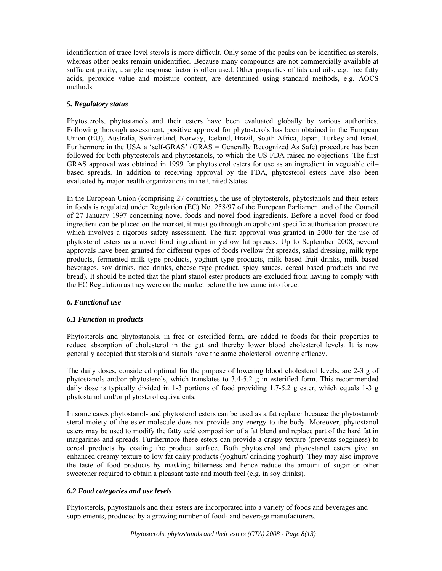identification of trace level sterols is more difficult. Only some of the peaks can be identified as sterols, whereas other peaks remain unidentified. Because many compounds are not commercially available at sufficient purity, a single response factor is often used. Other properties of fats and oils, e.g. free fatty acids, peroxide value and moisture content, are determined using standard methods, e.g. AOCS methods.

# *5. Regulatory status*

Phytosterols, phytostanols and their esters have been evaluated globally by various authorities. Following thorough assessment, positive approval for phytosterols has been obtained in the European Union (EU), Australia, Switzerland, Norway, Iceland, Brazil, South Africa, Japan, Turkey and Israel. Furthermore in the USA a 'self-GRAS' (GRAS = Generally Recognized As Safe) procedure has been followed for both phytosterols and phytostanols, to which the US FDA raised no objections. The first GRAS approval was obtained in 1999 for phytosterol esters for use as an ingredient in vegetable oil– based spreads. In addition to receiving approval by the FDA, phytosterol esters have also been evaluated by major health organizations in the United States.

In the European Union (comprising 27 countries), the use of phytosterols, phytostanols and their esters in foods is regulated under Regulation (EC) No. 258/97 of the European Parliament and of the Council of 27 January 1997 concerning novel foods and novel food ingredients. Before a novel food or food ingredient can be placed on the market, it must go through an applicant specific authorisation procedure which involves a rigorous safety assessment. The first approval was granted in 2000 for the use of phytosterol esters as a novel food ingredient in yellow fat spreads. Up to September 2008, several approvals have been granted for different types of foods (yellow fat spreads, salad dressing, milk type products, fermented milk type products, yoghurt type products, milk based fruit drinks, milk based beverages, soy drinks, rice drinks, cheese type product, spicy sauces, cereal based products and rye bread). It should be noted that the plant stanol ester products are excluded from having to comply with the EC Regulation as they were on the market before the law came into force.

# *6. Functional use*

# *6.1 Function in products*

Phytosterols and phytostanols, in free or esterified form, are added to foods for their properties to reduce absorption of cholesterol in the gut and thereby lower blood cholesterol levels. It is now generally accepted that sterols and stanols have the same cholesterol lowering efficacy.

The daily doses, considered optimal for the purpose of lowering blood cholesterol levels, are 2-3 g of phytostanols and/or phytosterols, which translates to 3.4-5.2 g in esterified form. This recommended daily dose is typically divided in 1-3 portions of food providing 1.7-5.2 g ester, which equals 1-3 g phytostanol and/or phytosterol equivalents.

In some cases phytostanol- and phytosterol esters can be used as a fat replacer because the phytostanol/ sterol moiety of the ester molecule does not provide any energy to the body. Moreover, phytostanol esters may be used to modify the fatty acid composition of a fat blend and replace part of the hard fat in margarines and spreads. Furthermore these esters can provide a crispy texture (prevents sogginess) to cereal products by coating the product surface. Both phytosterol and phytostanol esters give an enhanced creamy texture to low fat dairy products (yoghurt/ drinking yoghurt). They may also improve the taste of food products by masking bitterness and hence reduce the amount of sugar or other sweetener required to obtain a pleasant taste and mouth feel (e.g. in soy drinks).

# *6.2 Food categories and use levels*

Phytosterols, phytostanols and their esters are incorporated into a variety of foods and beverages and supplements, produced by a growing number of food- and beverage manufacturers.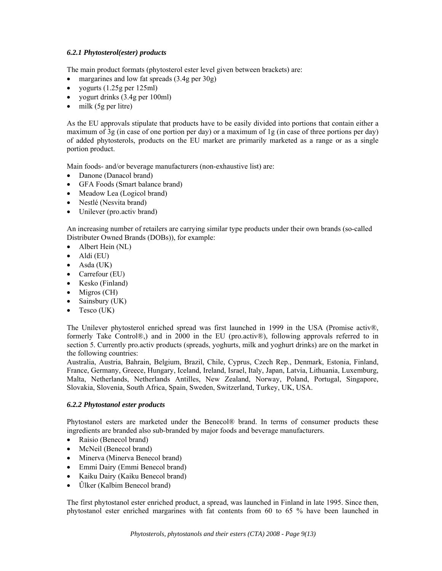# *6.2.1 Phytosterol(ester) products*

The main product formats (phytosterol ester level given between brackets) are:

- margarines and low fat spreads (3.4g per 30g)
- yogurts  $(1.25g \text{ per } 125m1)$
- yogurt drinks (3.4g per 100ml)
- $\bullet$  milk (5g per litre)

As the EU approvals stipulate that products have to be easily divided into portions that contain either a maximum of 3g (in case of one portion per day) or a maximum of 1g (in case of three portions per day) of added phytosterols, products on the EU market are primarily marketed as a range or as a single portion product.

Main foods- and/or beverage manufacturers (non-exhaustive list) are:

- Danone (Danacol brand)
- GFA Foods (Smart balance brand)
- Meadow Lea (Logicol brand)
- Nestlé (Nesvita brand)
- Unilever (pro.activ brand)

An increasing number of retailers are carrying similar type products under their own brands (so-called Distributer Owned Brands (DOBs)), for example:

- Albert Hein (NL)
- $\bullet$  Aldi (EU)
- Asda (UK)
- Carrefour (EU)
- Kesko (Finland)
- Migros (CH)
- Sainsbury (UK)
- Tesco (UK)

The Unilever phytosterol enriched spread was first launched in 1999 in the USA (Promise activ®, formerly Take Control®,) and in 2000 in the EU (pro.activ®), following approvals referred to in section 5. Currently pro.activ products (spreads, yoghurts, milk and yoghurt drinks) are on the market in the following countries:

Australia, Austria, Bahrain, Belgium, Brazil, Chile, Cyprus, Czech Rep., Denmark, Estonia, Finland, France, Germany, Greece, Hungary, Iceland, Ireland, Israel, Italy, Japan, Latvia, Lithuania, Luxemburg, Malta, Netherlands, Netherlands Antilles, New Zealand, Norway, Poland, Portugal, Singapore, Slovakia, Slovenia, South Africa, Spain, Sweden, Switzerland, Turkey, UK, USA.

# *6.2.2 Phytostanol ester products*

Phytostanol esters are marketed under the Benecol® brand. In terms of consumer products these ingredients are branded also sub-branded by major foods and beverage manufacturers.

- Raisio (Benecol brand)
- McNeil (Benecol brand)
- Minerva (Minerva Benecol brand)
- Emmi Dairy (Emmi Benecol brand)
- Kaiku Dairy (Kaiku Benecol brand)
- **Úlker** (Kalbim Benecol brand)

The first phytostanol ester enriched product, a spread, was launched in Finland in late 1995. Since then, phytostanol ester enriched margarines with fat contents from 60 to 65 % have been launched in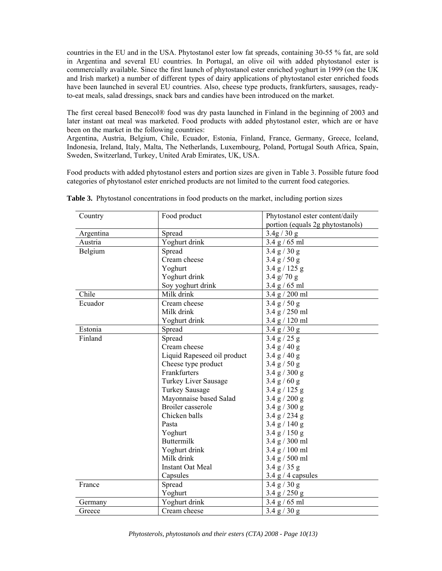countries in the EU and in the USA. Phytostanol ester low fat spreads, containing 30-55 % fat, are sold in Argentina and several EU countries. In Portugal, an olive oil with added phytostanol ester is commercially available. Since the first launch of phytostanol ester enriched yoghurt in 1999 (on the UK and Irish market) a number of different types of dairy applications of phytostanol ester enriched foods have been launched in several EU countries. Also, cheese type products, frankfurters, sausages, readyto-eat meals, salad dressings, snack bars and candies have been introduced on the market.

The first cereal based Benecol® food was dry pasta launched in Finland in the beginning of 2003 and later instant oat meal was marketed. Food products with added phytostanol ester, which are or have been on the market in the following countries:

Argentina, Austria, Belgium, Chile, Ecuador, Estonia, Finland, France, Germany, Greece, Iceland, Indonesia, Ireland, Italy, Malta, The Netherlands, Luxembourg, Poland, Portugal South Africa, Spain, Sweden, Switzerland, Turkey, United Arab Emirates, UK, USA.

Food products with added phytostanol esters and portion sizes are given in Table 3. Possible future food categories of phytostanol ester enriched products are not limited to the current food categories.

| 3.4g / 30g<br>Argentina<br>Spread<br>Yoghurt drink<br>3.4 g / 65 ml<br>Austria<br>3.4 g / 30 g<br>Belgium<br>Spread<br>Cream cheese<br>3.4 g / 50 g<br>Yoghurt<br>3.4 g / 125 g<br>Yoghurt drink<br>3.4 g/ 70 g<br>Soy yoghurt drink<br>3.4 g / 65 ml<br>Chile<br>Milk drink<br>3.4 g / 200 ml<br>Ecuador<br>3.4 g / 50 g<br>Cream cheese<br>Milk drink<br>3.4 g / 250 ml<br>Yoghurt drink<br>3.4 g / 120 ml<br>Spread<br>3.4 g / 30 g<br>Estonia<br>Finland<br>Spread<br>3.4 g / 25 g<br>Cream cheese<br>3.4 g / 40 g<br>Liquid Rapeseed oil product<br>3.4 g / 40 g<br>Cheese type product<br>3.4 g / 50 g<br>Frankfurters<br>3.4 g / 300 g<br>Turkey Liver Sausage<br>3.4 g / 60 g<br><b>Turkey Sausage</b><br>3.4 g / 125 g<br>Mayonnaise based Salad<br>3.4 g / 200 g<br><b>Broiler</b> casserole<br>3.4 g / 300 g<br>Chicken balls<br>3.4 g / 234 g<br>Pasta<br>3.4 g / 140 g<br>Yoghurt<br>3.4 g / 150 g<br><b>Buttermilk</b><br>3.4 g / 300 ml<br>Yoghurt drink<br>3.4 g / 100 ml<br>Milk drink<br>3.4 g / 500 ml<br><b>Instant Oat Meal</b><br>3.4 g / 35 g<br>$3.4$ g / 4 capsules<br>Capsules<br>Spread<br>3.4 g / 30 g<br>France<br>Yoghurt<br>3.4 g / 250 g<br>Yoghurt drink<br>3.4 g / 65 ml<br>Germany<br>Cream cheese<br>3.4 g / 30 g<br>Greece | Country | Food product | Phytostanol ester content/daily  |
|-----------------------------------------------------------------------------------------------------------------------------------------------------------------------------------------------------------------------------------------------------------------------------------------------------------------------------------------------------------------------------------------------------------------------------------------------------------------------------------------------------------------------------------------------------------------------------------------------------------------------------------------------------------------------------------------------------------------------------------------------------------------------------------------------------------------------------------------------------------------------------------------------------------------------------------------------------------------------------------------------------------------------------------------------------------------------------------------------------------------------------------------------------------------------------------------------------------------------------------------------------------------|---------|--------------|----------------------------------|
|                                                                                                                                                                                                                                                                                                                                                                                                                                                                                                                                                                                                                                                                                                                                                                                                                                                                                                                                                                                                                                                                                                                                                                                                                                                                 |         |              | portion (equals 2g phytostanols) |
|                                                                                                                                                                                                                                                                                                                                                                                                                                                                                                                                                                                                                                                                                                                                                                                                                                                                                                                                                                                                                                                                                                                                                                                                                                                                 |         |              |                                  |
|                                                                                                                                                                                                                                                                                                                                                                                                                                                                                                                                                                                                                                                                                                                                                                                                                                                                                                                                                                                                                                                                                                                                                                                                                                                                 |         |              |                                  |
|                                                                                                                                                                                                                                                                                                                                                                                                                                                                                                                                                                                                                                                                                                                                                                                                                                                                                                                                                                                                                                                                                                                                                                                                                                                                 |         |              |                                  |
|                                                                                                                                                                                                                                                                                                                                                                                                                                                                                                                                                                                                                                                                                                                                                                                                                                                                                                                                                                                                                                                                                                                                                                                                                                                                 |         |              |                                  |
|                                                                                                                                                                                                                                                                                                                                                                                                                                                                                                                                                                                                                                                                                                                                                                                                                                                                                                                                                                                                                                                                                                                                                                                                                                                                 |         |              |                                  |
|                                                                                                                                                                                                                                                                                                                                                                                                                                                                                                                                                                                                                                                                                                                                                                                                                                                                                                                                                                                                                                                                                                                                                                                                                                                                 |         |              |                                  |
|                                                                                                                                                                                                                                                                                                                                                                                                                                                                                                                                                                                                                                                                                                                                                                                                                                                                                                                                                                                                                                                                                                                                                                                                                                                                 |         |              |                                  |
|                                                                                                                                                                                                                                                                                                                                                                                                                                                                                                                                                                                                                                                                                                                                                                                                                                                                                                                                                                                                                                                                                                                                                                                                                                                                 |         |              |                                  |
|                                                                                                                                                                                                                                                                                                                                                                                                                                                                                                                                                                                                                                                                                                                                                                                                                                                                                                                                                                                                                                                                                                                                                                                                                                                                 |         |              |                                  |
|                                                                                                                                                                                                                                                                                                                                                                                                                                                                                                                                                                                                                                                                                                                                                                                                                                                                                                                                                                                                                                                                                                                                                                                                                                                                 |         |              |                                  |
|                                                                                                                                                                                                                                                                                                                                                                                                                                                                                                                                                                                                                                                                                                                                                                                                                                                                                                                                                                                                                                                                                                                                                                                                                                                                 |         |              |                                  |
|                                                                                                                                                                                                                                                                                                                                                                                                                                                                                                                                                                                                                                                                                                                                                                                                                                                                                                                                                                                                                                                                                                                                                                                                                                                                 |         |              |                                  |
|                                                                                                                                                                                                                                                                                                                                                                                                                                                                                                                                                                                                                                                                                                                                                                                                                                                                                                                                                                                                                                                                                                                                                                                                                                                                 |         |              |                                  |
|                                                                                                                                                                                                                                                                                                                                                                                                                                                                                                                                                                                                                                                                                                                                                                                                                                                                                                                                                                                                                                                                                                                                                                                                                                                                 |         |              |                                  |
|                                                                                                                                                                                                                                                                                                                                                                                                                                                                                                                                                                                                                                                                                                                                                                                                                                                                                                                                                                                                                                                                                                                                                                                                                                                                 |         |              |                                  |
|                                                                                                                                                                                                                                                                                                                                                                                                                                                                                                                                                                                                                                                                                                                                                                                                                                                                                                                                                                                                                                                                                                                                                                                                                                                                 |         |              |                                  |
|                                                                                                                                                                                                                                                                                                                                                                                                                                                                                                                                                                                                                                                                                                                                                                                                                                                                                                                                                                                                                                                                                                                                                                                                                                                                 |         |              |                                  |
|                                                                                                                                                                                                                                                                                                                                                                                                                                                                                                                                                                                                                                                                                                                                                                                                                                                                                                                                                                                                                                                                                                                                                                                                                                                                 |         |              |                                  |
|                                                                                                                                                                                                                                                                                                                                                                                                                                                                                                                                                                                                                                                                                                                                                                                                                                                                                                                                                                                                                                                                                                                                                                                                                                                                 |         |              |                                  |
|                                                                                                                                                                                                                                                                                                                                                                                                                                                                                                                                                                                                                                                                                                                                                                                                                                                                                                                                                                                                                                                                                                                                                                                                                                                                 |         |              |                                  |
|                                                                                                                                                                                                                                                                                                                                                                                                                                                                                                                                                                                                                                                                                                                                                                                                                                                                                                                                                                                                                                                                                                                                                                                                                                                                 |         |              |                                  |
|                                                                                                                                                                                                                                                                                                                                                                                                                                                                                                                                                                                                                                                                                                                                                                                                                                                                                                                                                                                                                                                                                                                                                                                                                                                                 |         |              |                                  |
|                                                                                                                                                                                                                                                                                                                                                                                                                                                                                                                                                                                                                                                                                                                                                                                                                                                                                                                                                                                                                                                                                                                                                                                                                                                                 |         |              |                                  |
|                                                                                                                                                                                                                                                                                                                                                                                                                                                                                                                                                                                                                                                                                                                                                                                                                                                                                                                                                                                                                                                                                                                                                                                                                                                                 |         |              |                                  |
|                                                                                                                                                                                                                                                                                                                                                                                                                                                                                                                                                                                                                                                                                                                                                                                                                                                                                                                                                                                                                                                                                                                                                                                                                                                                 |         |              |                                  |
|                                                                                                                                                                                                                                                                                                                                                                                                                                                                                                                                                                                                                                                                                                                                                                                                                                                                                                                                                                                                                                                                                                                                                                                                                                                                 |         |              |                                  |
|                                                                                                                                                                                                                                                                                                                                                                                                                                                                                                                                                                                                                                                                                                                                                                                                                                                                                                                                                                                                                                                                                                                                                                                                                                                                 |         |              |                                  |
|                                                                                                                                                                                                                                                                                                                                                                                                                                                                                                                                                                                                                                                                                                                                                                                                                                                                                                                                                                                                                                                                                                                                                                                                                                                                 |         |              |                                  |
|                                                                                                                                                                                                                                                                                                                                                                                                                                                                                                                                                                                                                                                                                                                                                                                                                                                                                                                                                                                                                                                                                                                                                                                                                                                                 |         |              |                                  |
|                                                                                                                                                                                                                                                                                                                                                                                                                                                                                                                                                                                                                                                                                                                                                                                                                                                                                                                                                                                                                                                                                                                                                                                                                                                                 |         |              |                                  |
|                                                                                                                                                                                                                                                                                                                                                                                                                                                                                                                                                                                                                                                                                                                                                                                                                                                                                                                                                                                                                                                                                                                                                                                                                                                                 |         |              |                                  |
|                                                                                                                                                                                                                                                                                                                                                                                                                                                                                                                                                                                                                                                                                                                                                                                                                                                                                                                                                                                                                                                                                                                                                                                                                                                                 |         |              |                                  |
|                                                                                                                                                                                                                                                                                                                                                                                                                                                                                                                                                                                                                                                                                                                                                                                                                                                                                                                                                                                                                                                                                                                                                                                                                                                                 |         |              |                                  |

**Table 3.** Phytostanol concentrations in food products on the market, including portion sizes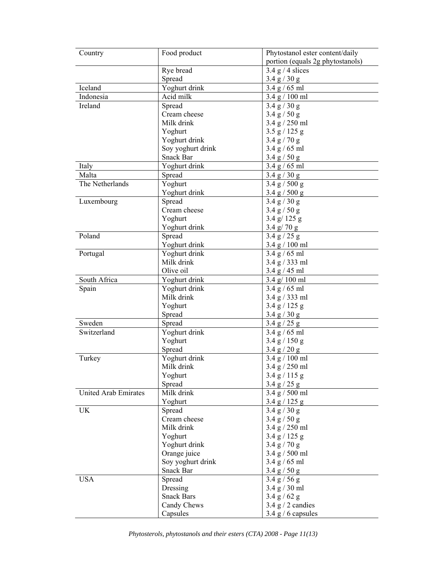| Country              | Food product      | Phytostanol ester content/daily  |
|----------------------|-------------------|----------------------------------|
|                      |                   | portion (equals 2g phytostanols) |
|                      | Rye bread         | $3.4$ g / 4 slices               |
|                      | Spread            | 3.4 g / 30 g                     |
| Iceland              | Yoghurt drink     | 3.4 g / 65 ml                    |
| Indonesia            | Acid milk         | 3.4 g / 100 ml                   |
| Ireland              | Spread            | 3.4 g / 30 g                     |
|                      | Cream cheese      | 3.4 g / 50 g                     |
|                      | Milk drink        | 3.4 g / 250 ml                   |
|                      | Yoghurt           | 3.5 g / 125 g                    |
|                      | Yoghurt drink     | 3.4 g / 70 g                     |
|                      | Soy yoghurt drink | 3.4 g / 65 ml                    |
|                      | Snack Bar         | 3.4 g / 50 g                     |
| Italy                | Yoghurt drink     | 3.4 g / 65 ml                    |
| Malta                | Spread            | 3.4 g / 30 g                     |
| The Netherlands      | Yoghurt           | 3.4 g / 500 g                    |
|                      | Yoghurt drink     | 3.4 g / 500 g                    |
| Luxembourg           | Spread            | 3.4 g / 30 g                     |
|                      | Cream cheese      | 3.4 g / 50 g                     |
|                      | Yoghurt           | 3.4 g/ 125 g                     |
|                      | Yoghurt drink     | $3.4 \text{ g} / 70 \text{ g}$   |
| Poland               | Spread            | 3.4 g / 25 g                     |
|                      | Yoghurt drink     | 3.4 g / 100 ml                   |
| Portugal             | Yoghurt drink     | 3.4 g / 65 ml                    |
|                      | Milk drink        | 3.4 g / 333 ml                   |
|                      | Olive oil         | 3.4 g / 45 ml                    |
| South Africa         | Yoghurt drink     | $3.4$ g/ 100 ml                  |
| Spain                | Yoghurt drink     | 3.4 g / 65 ml                    |
|                      | Milk drink        | 3.4 g / 333 ml                   |
|                      | Yoghurt           | 3.4 g / 125 g                    |
|                      | Spread            | 3.4 g / 30 g                     |
| Sweden               | Spread            | 3.4 g / 25 g                     |
| Switzerland          | Yoghurt drink     | 3.4 g / 65 ml                    |
|                      | Yoghurt           | 3.4 g / 150 g                    |
|                      | Spread            | 3.4 g / 20 g                     |
| Turkey               | Yoghurt drink     | 3.4 g / 100 ml                   |
|                      | Milk drink        | 3.4 g / 250 ml                   |
|                      | Yoghurt           | 3.4 g / 115 g                    |
|                      | Spread            | 3.4 g / 25 g                     |
| United Arab Emirates | Milk drink        | 3.4 g / 500 ml                   |
|                      | Yoghurt           | 3.4 g / 125 g                    |
| <b>UK</b>            | Spread            | 3.4 g / 30 g                     |
|                      | Cream cheese      | 3.4 g / 50 g                     |
|                      | Milk drink        | 3.4 g / 250 ml                   |
|                      | Yoghurt           | 3.4 g / 125 g                    |
|                      | Yoghurt drink     | 3.4 g / 70 g                     |
|                      | Orange juice      | 3.4 g / 500 ml                   |
|                      | Soy yoghurt drink | 3.4 g / 65 ml                    |
|                      | Snack Bar         | 3.4 g / 50 g                     |
| <b>USA</b>           | Spread            | 3.4 g / 56 g                     |
|                      | Dressing          | 3.4 g / 30 ml                    |
|                      | <b>Snack Bars</b> | 3.4 g / 62 g                     |
|                      | Candy Chews       | $3.4$ g $/2$ candies             |
|                      | Capsules          | 3.4 $g/6$ capsules               |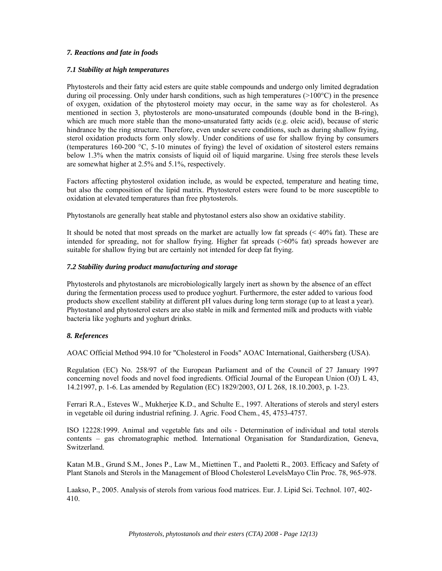# *7. Reactions and fate in foods*

# *7.1 Stability at high temperatures*

Phytosterols and their fatty acid esters are quite stable compounds and undergo only limited degradation during oil processing. Only under harsh conditions, such as high temperatures (>100°C) in the presence of oxygen, oxidation of the phytosterol moiety may occur, in the same way as for cholesterol. As mentioned in section 3, phytosterols are mono-unsaturated compounds (double bond in the B-ring), which are much more stable than the mono-unsaturated fatty acids (e.g. oleic acid), because of steric hindrance by the ring structure. Therefore, even under severe conditions, such as during shallow frying, sterol oxidation products form only slowly. Under conditions of use for shallow frying by consumers (temperatures 160-200 °C, 5-10 minutes of frying) the level of oxidation of sitosterol esters remains below 1.3% when the matrix consists of liquid oil of liquid margarine. Using free sterols these levels are somewhat higher at 2.5% and 5.1%, respectively.

Factors affecting phytosterol oxidation include, as would be expected, temperature and heating time, but also the composition of the lipid matrix. Phytosterol esters were found to be more susceptible to oxidation at elevated temperatures than free phytosterols.

Phytostanols are generally heat stable and phytostanol esters also show an oxidative stability.

It should be noted that most spreads on the market are actually low fat spreads (< 40% fat). These are intended for spreading, not for shallow frying. Higher fat spreads (>60% fat) spreads however are suitable for shallow frying but are certainly not intended for deep fat frying.

# *7.2 Stability during product manufacturing and storage*

Phytosterols and phytostanols are microbiologically largely inert as shown by the absence of an effect during the fermentation process used to produce yoghurt. Furthermore, the ester added to various food products show excellent stability at different pH values during long term storage (up to at least a year). Phytostanol and phytosterol esters are also stable in milk and fermented milk and products with viable bacteria like yoghurts and yoghurt drinks.

# *8. References*

AOAC Official Method 994.10 for "Cholesterol in Foods" AOAC International, Gaithersberg (USA).

Regulation (EC) No. 258/97 of the European Parliament and of the Council of 27 January 1997 concerning novel foods and novel food ingredients. Official Journal of the European Union (OJ) L 43, 14.21997, p. 1-6. Las amended by Regulation (EC) 1829/2003, OJ L 268, 18.10.2003, p. 1-23.

Ferrari R.A., Esteves W., Mukherjee K.D., and Schulte E., 1997. Alterations of sterols and steryl esters in vegetable oil during industrial refining. J. Agric. Food Chem., 45, 4753-4757.

ISO 12228:1999. Animal and vegetable fats and oils - Determination of individual and total sterols contents – gas chromatographic method. International Organisation for Standardization, Geneva, Switzerland.

Katan M.B., Grund S.M., Jones P., Law M., Miettinen T., and Paoletti R., 2003. Efficacy and Safety of Plant Stanols and Sterols in the Management of Blood Cholesterol LevelsMayo Clin Proc. 78, 965-978.

Laakso, P., 2005. Analysis of sterols from various food matrices. Eur. J. Lipid Sci. Technol. 107, 402- 410.